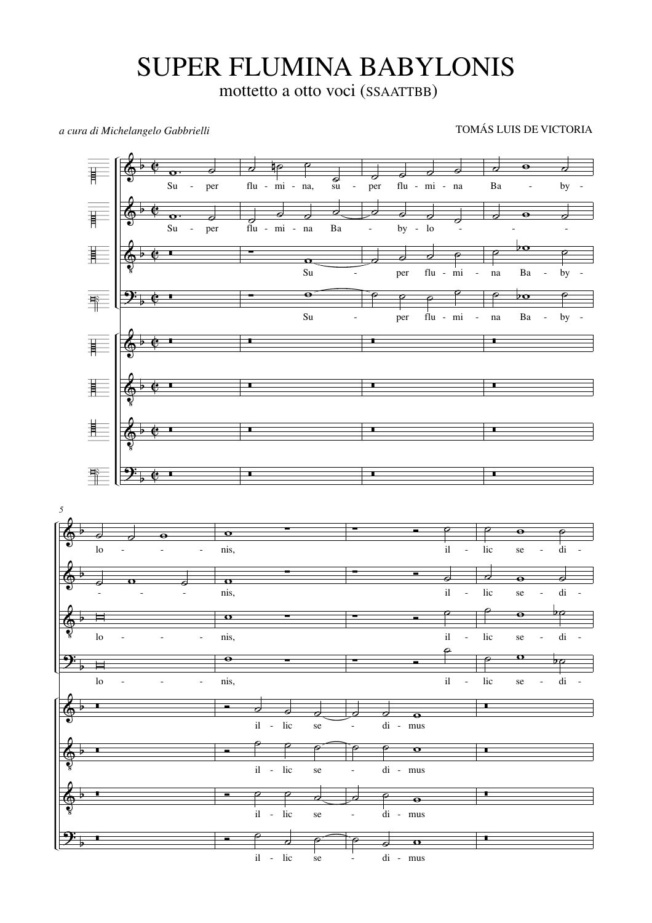## SUPER FLUMINA BABYLONIS

mottetto a otto voci (SSAATTBB)

*a cura di Michelangelo Gabbrielli* TOMÁS LUIS DE VICTORIA